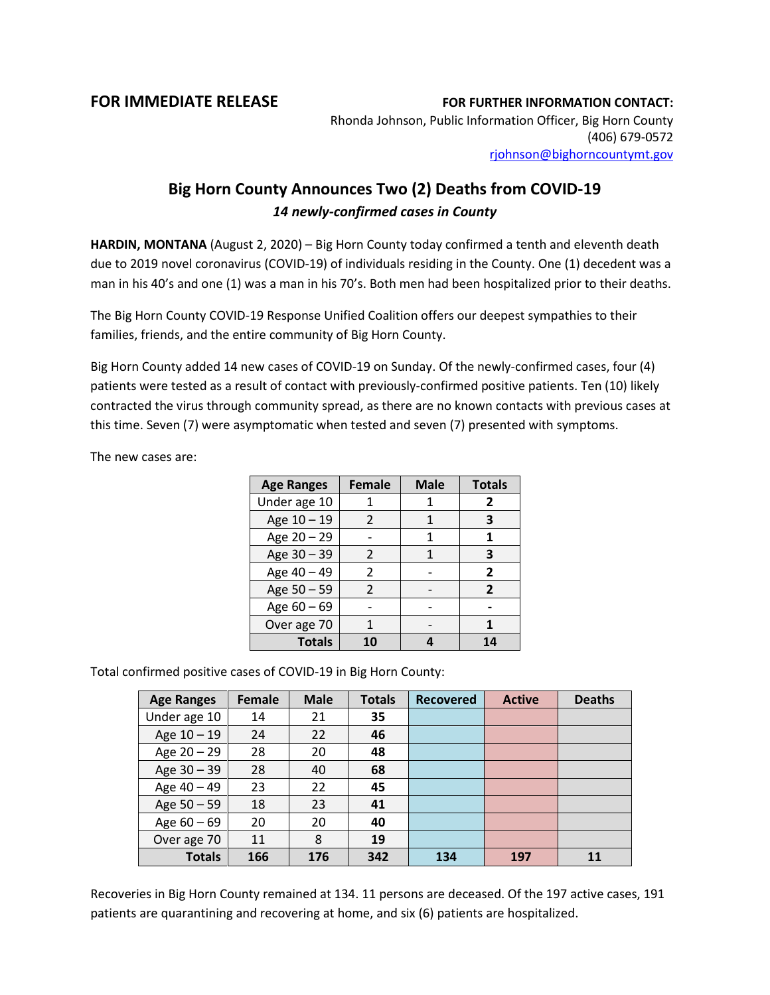## **FOR IMMEDIATE RELEASE FOR FURTHER INFORMATION CONTACT:**

Rhonda Johnson, Public Information Officer, Big Horn County (406) 679-0572 [rjohnson@bighorncountymt.gov](mailto:rjohnson@bighorncountymt.gov)

## **Big Horn County Announces Two (2) Deaths from COVID-19** *14 newly-confirmed cases in County*

**HARDIN, MONTANA** (August 2, 2020) – Big Horn County today confirmed a tenth and eleventh death due to 2019 novel coronavirus (COVID-19) of individuals residing in the County. One (1) decedent was a man in his 40's and one (1) was a man in his 70's. Both men had been hospitalized prior to their deaths.

The Big Horn County COVID-19 Response Unified Coalition offers our deepest sympathies to their families, friends, and the entire community of Big Horn County.

Big Horn County added 14 new cases of COVID-19 on Sunday. Of the newly-confirmed cases, four (4) patients were tested as a result of contact with previously-confirmed positive patients. Ten (10) likely contracted the virus through community spread, as there are no known contacts with previous cases at this time. Seven (7) were asymptomatic when tested and seven (7) presented with symptoms.

The new cases are:

| <b>Age Ranges</b> | <b>Female</b>  | <b>Male</b> | <b>Totals</b>  |
|-------------------|----------------|-------------|----------------|
| Under age 10      |                |             | 2              |
| Age 10 - 19       | $\mathcal{P}$  | 1           | 3              |
| Age 20 - 29       |                | 1           | 1              |
| Age 30 - 39       | 2              |             | з              |
| Age 40 - 49       | $\mathfrak{p}$ |             | 2              |
| Age 50 - 59       | 2              |             | $\overline{2}$ |
| Age 60 - 69       |                |             |                |
| Over age 70       |                |             |                |
| <b>Totals</b>     | 10             |             |                |

Total confirmed positive cases of COVID-19 in Big Horn County:

| <b>Age Ranges</b> | <b>Female</b> | <b>Male</b> | <b>Totals</b> | <b>Recovered</b> | <b>Active</b> | <b>Deaths</b> |
|-------------------|---------------|-------------|---------------|------------------|---------------|---------------|
| Under age 10      | 14            | 21          | 35            |                  |               |               |
| Age 10 - 19       | 24            | 22          | 46            |                  |               |               |
| Age $20 - 29$     | 28            | 20          | 48            |                  |               |               |
| Age 30 - 39       | 28            | 40          | 68            |                  |               |               |
| Age 40 - 49       | 23            | 22          | 45            |                  |               |               |
| Age 50 - 59       | 18            | 23          | 41            |                  |               |               |
| Age $60 - 69$     | 20            | 20          | 40            |                  |               |               |
| Over age 70       | 11            | 8           | 19            |                  |               |               |
| <b>Totals</b>     | 166           | 176         | 342           | 134              | 197           | 11            |

Recoveries in Big Horn County remained at 134. 11 persons are deceased. Of the 197 active cases, 191 patients are quarantining and recovering at home, and six (6) patients are hospitalized.